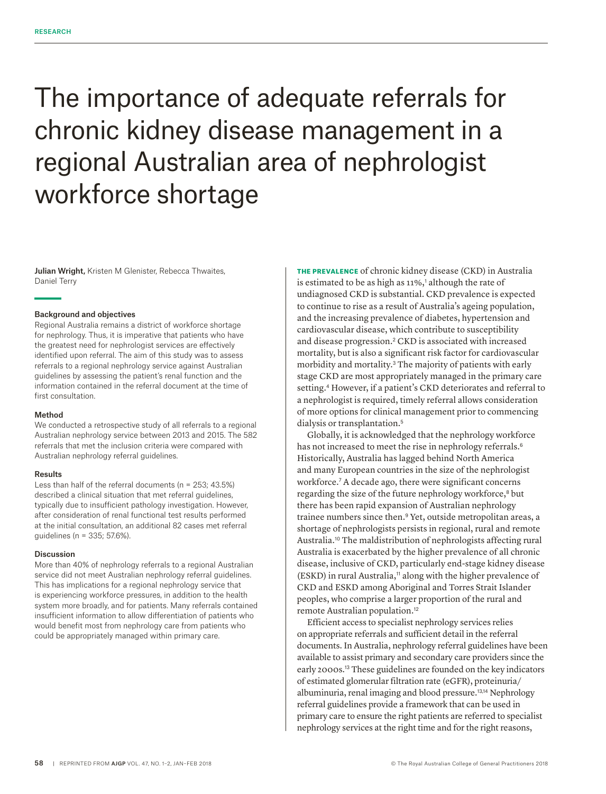# The importance of adequate referrals for chronic kidney disease management in a regional Australian area of nephrologist workforce shortage

Julian Wright, Kristen M Glenister, Rebecca Thwaites, Daniel Terry

## Background and objectives

Regional Australia remains a district of workforce shortage for nephrology. Thus, it is imperative that patients who have the greatest need for nephrologist services are effectively identified upon referral. The aim of this study was to assess referrals to a regional nephrology service against Australian guidelines by assessing the patient's renal function and the information contained in the referral document at the time of first consultation.

## Method

We conducted a retrospective study of all referrals to a regional Australian nephrology service between 2013 and 2015. The 582 referrals that met the inclusion criteria were compared with Australian nephrology referral guidelines.

## Results

Less than half of the referral documents (n = 253; 43.5%) described a clinical situation that met referral guidelines, typically due to insufficient pathology investigation. However, after consideration of renal functional test results performed at the initial consultation, an additional 82 cases met referral guidelines (n = 335; 57.6%).

#### Discussion

More than 40% of nephrology referrals to a regional Australian service did not meet Australian nephrology referral guidelines. This has implications for a regional nephrology service that is experiencing workforce pressures, in addition to the health system more broadly, and for patients. Many referrals contained insufficient information to allow differentiation of patients who would benefit most from nephrology care from patients who could be appropriately managed within primary care.

THE PREVALENCE of chronic kidney disease (CKD) in Australia is estimated to be as high as  $11\%$ , although the rate of undiagnosed CKD is substantial. CKD prevalence is expected to continue to rise as a result of Australia's ageing population, and the increasing prevalence of diabetes, hypertension and cardiovascular disease, which contribute to susceptibility and disease progression.2 CKD is associated with increased mortality, but is also a significant risk factor for cardiovascular morbidity and mortality.3 The majority of patients with early stage CKD are most appropriately managed in the primary care setting.4 However, if a patient's CKD deteriorates and referral to a nephrologist is required, timely referral allows consideration of more options for clinical management prior to commencing dialysis or transplantation.<sup>5</sup>

Globally, it is acknowledged that the nephrology workforce has not increased to meet the rise in nephrology referrals.<sup>6</sup> Historically, Australia has lagged behind North America and many European countries in the size of the nephrologist workforce.<sup>7</sup> A decade ago, there were significant concerns regarding the size of the future nephrology workforce,<sup>8</sup> but there has been rapid expansion of Australian nephrology trainee numbers since then.9 Yet, outside metropolitan areas, a shortage of nephrologists persists in regional, rural and remote Australia.10 The maldistribution of nephrologists affecting rural Australia is exacerbated by the higher prevalence of all chronic disease, inclusive of CKD, particularly end-stage kidney disease (ESKD) in rural Australia,<sup>11</sup> along with the higher prevalence of CKD and ESKD among Aboriginal and Torres Strait Islander peoples, who comprise a larger proportion of the rural and remote Australian population.<sup>12</sup>

Efficient access to specialist nephrology services relies on appropriate referrals and sufficient detail in the referral documents. In Australia, nephrology referral guidelines have been available to assist primary and secondary care providers since the early 2000s.13 These guidelines are founded on the key indicators of estimated glomerular filtration rate (eGFR), proteinuria/ albuminuria, renal imaging and blood pressure.13,14 Nephrology referral guidelines provide a framework that can be used in primary care to ensure the right patients are referred to specialist nephrology services at the right time and for the right reasons,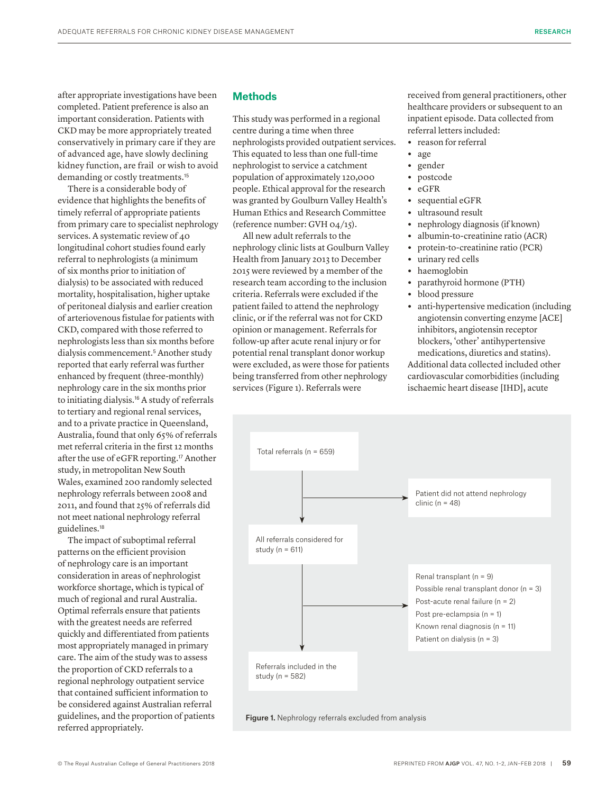after appropriate investigations have been completed. Patient preference is also an important consideration. Patients with CKD may be more appropriately treated conservatively in primary care if they are of advanced age, have slowly declining kidney function, are frail or wish to avoid demanding or costly treatments.<sup>15</sup>

There is a considerable body of evidence that highlights the benefits of timely referral of appropriate patients from primary care to specialist nephrology services. A systematic review of 40 longitudinal cohort studies found early referral to nephrologists (a minimum of six months prior to initiation of dialysis) to be associated with reduced mortality, hospitalisation, higher uptake of peritoneal dialysis and earlier creation of arteriovenous fistulae for patients with CKD, compared with those referred to nephrologists less than six months before dialysis commencement.5 Another study reported that early referral was further enhanced by frequent (three-monthly) nephrology care in the six months prior to initiating dialysis.16 A study of referrals to tertiary and regional renal services, and to a private practice in Queensland, Australia, found that only 65% of referrals met referral criteria in the first 12 months after the use of eGFR reporting.<sup>17</sup> Another study, in metropolitan New South Wales, examined 200 randomly selected nephrology referrals between 2008 and 2011, and found that 25% of referrals did not meet national nephrology referral guidelines.<sup>18</sup>

The impact of suboptimal referral patterns on the efficient provision of nephrology care is an important consideration in areas of nephrologist workforce shortage, which is typical of much of regional and rural Australia. Optimal referrals ensure that patients with the greatest needs are referred quickly and differentiated from patients most appropriately managed in primary care. The aim of the study was to assess the proportion of CKD referrals to a regional nephrology outpatient service that contained sufficient information to be considered against Australian referral guidelines, and the proportion of patients referred appropriately.

## **Methods**

This study was performed in a regional centre during a time when three nephrologists provided outpatient services. This equated to less than one full-time nephrologist to service a catchment population of approximately 120,000 people. Ethical approval for the research was granted by Goulburn Valley Health's Human Ethics and Research Committee (reference number: GVH 04/15).

All new adult referrals to the nephrology clinic lists at Goulburn Valley Health from January 2013 to December 2015 were reviewed by a member of the research team according to the inclusion criteria. Referrals were excluded if the patient failed to attend the nephrology clinic, or if the referral was not for CKD opinion or management. Referrals for follow-up after acute renal injury or for potential renal transplant donor workup were excluded, as were those for patients being transferred from other nephrology services (Figure 1). Referrals were

received from general practitioners, other healthcare providers or subsequent to an inpatient episode. Data collected from referral letters included:

- **•** reason for referral
- **•** age
- **•** gender
- **•** postcode
- **•** eGFR
- **•** sequential eGFR
- **•** ultrasound result
- **•** nephrology diagnosis (if known)
- **•** albumin-to-creatinine ratio (ACR)
- **•** protein-to-creatinine ratio (PCR)
- **•** urinary red cells
- **•** haemoglobin
- **•** parathyroid hormone (PTH)
- **•** blood pressure
- **•** anti-hypertensive medication (including angiotensin converting enzyme [ACE] inhibitors, angiotensin receptor blockers, 'other' antihypertensive medications, diuretics and statins).

Additional data collected included other cardiovascular comorbidities (including ischaemic heart disease [IHD], acute

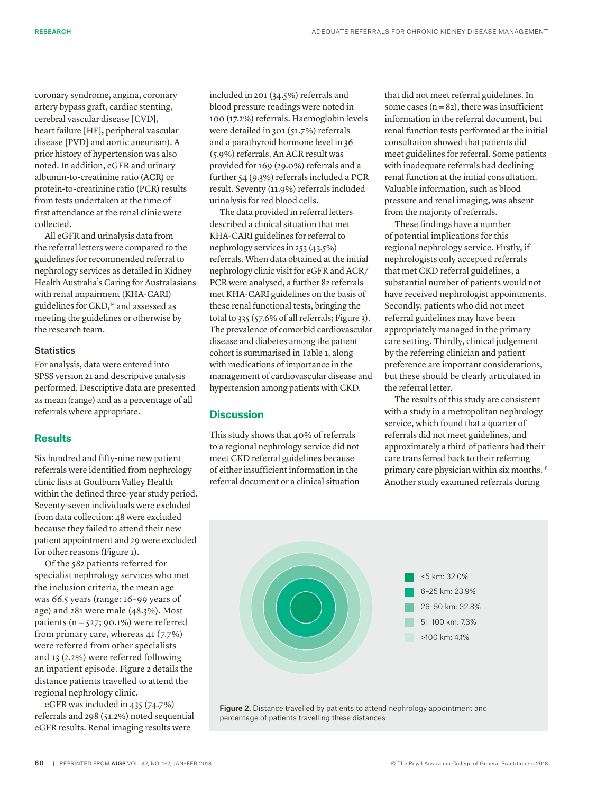coronary syndrome, angina, coronary artery bypass graft, cardiac stenting, cerebral vascular disease [CVD], heart failure [HF], peripheral vascular disease [PVD] and aortic aneurism). A prior history of hypertension was also noted. In addition, eGFR and urinary albumin-to-creatinine ratio (ACR) or protein-to-creatinine ratio (PCR) results from tests undertaken at the time of first attendance at the renal clinic were collected.

All eGFR and urinalysis data from the referral letters were compared to the guidelines for recommended referral to nephrology services as detailed in Kidney Health Australia's Caring for Australasians with renal impairment (KHA-CARI) guidelines for CKD,<sup>14</sup> and assessed as meeting the guidelines or otherwise by the research team.

## **Statistics**

For analysis, data were entered into SPSS version 21 and descriptive analysis performed. Descriptive data are presented as mean (range) and as a percentage of all referrals where appropriate.

## **Results**

Six hundred and fifty-nine new patient referrals were identified from nephrology clinic lists at Goulburn Valley Health within the defined three-year study period. Seventy-seven individuals were excluded from data collection: 48 were excluded because they failed to attend their new patient appointment and 29 were excluded for other reasons (Figure 1).

Of the 582 patients referred for specialist nephrology services who met the inclusion criteria, the mean age was 66.5 years (range: 16–99 years of age) and 281 were male (48.3%). Most patients ( $n = 527$ ; 90.1%) were referred from primary care, whereas 41 (7.7%) were referred from other specialists and 13 (2.2%) were referred following an inpatient episode. Figure 2 details the distance patients travelled to attend the regional nephrology clinic.

eGFR was included in 435 (74.7%) referrals and 298 (51.2%) noted sequential eGFR results. Renal imaging results were

included in 201 (34.5%) referrals and blood pressure readings were noted in 100 (17.2%) referrals. Haemoglobin levels were detailed in 301 (51.7%) referrals and a parathyroid hormone level in 36 (5.9%) referrals. An ACR result was provided for 169 (29.0%) referrals and a further 54 (9.3%) referrals included a PCR result. Seventy (11.9%) referrals included urinalysis for red blood cells.

The data provided in referral letters described a clinical situation that met KHA-CARI guidelines for referral to nephrology services in 253 (43.5%) referrals. When data obtained at the initial nephrology clinic visit for eGFR and ACR/ PCR were analysed, a further 82 referrals met KHA-CARI guidelines on the basis of these renal functional tests, bringing the total to 335 (57.6% of all referrals; Figure 3). The prevalence of comorbid cardiovascular disease and diabetes among the patient cohort is summarised in Table 1, along with medications of importance in the management of cardiovascular disease and hypertension among patients with CKD.

## **Discussion**

This study shows that 40% of referrals to a regional nephrology service did not meet CKD referral guidelines because of either insufficient information in the referral document or a clinical situation that did not meet referral guidelines. In some cases  $(n = 82)$ , there was insufficient information in the referral document, but renal function tests performed at the initial consultation showed that patients did meet guidelines for referral. Some patients with inadequate referrals had declining renal function at the initial consultation. Valuable information, such as blood pressure and renal imaging, was absent from the majority of referrals.

These findings have a number of potential implications for this regional nephrology service. Firstly, if nephrologists only accepted referrals that met CKD referral guidelines, a substantial number of patients would not have received nephrologist appointments. Secondly, patients who did not meet referral guidelines may have been appropriately managed in the primary care setting. Thirdly, clinical judgement by the referring clinician and patient preference are important considerations, but these should be clearly articulated in the referral letter.

The results of this study are consistent with a study in a metropolitan nephrology service, which found that a quarter of referrals did not meet guidelines, and approximately a third of patients had their care transferred back to their referring primary care physician within six months.<sup>18</sup> Another study examined referrals during



percentage of patients travelling these distances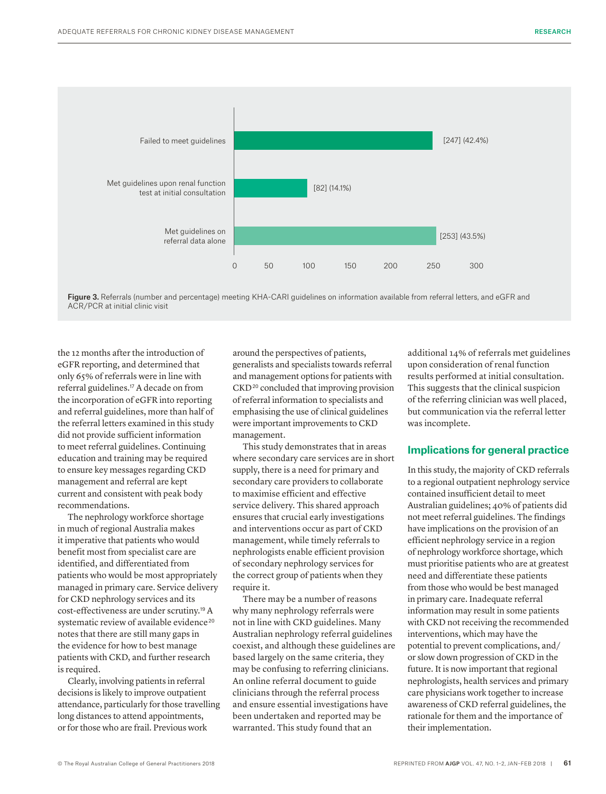

Figure 3. Referrals (number and percentage) meeting KHA-CARI guidelines on information available from referral letters, and eGFR and ACR/PCR at initial clinic visit

the 12 months after the introduction of eGFR reporting, and determined that only 65% of referrals were in line with referral guidelines.17 A decade on from the incorporation of eGFR into reporting and referral guidelines, more than half of the referral letters examined in this study did not provide sufficient information to meet referral guidelines. Continuing education and training may be required to ensure key messages regarding CKD management and referral are kept current and consistent with peak body recommendations.

The nephrology workforce shortage in much of regional Australia makes it imperative that patients who would benefit most from specialist care are identified, and differentiated from patients who would be most appropriately managed in primary care. Service delivery for CKD nephrology services and its cost-effectiveness are under scrutiny.19 A systematic review of available evidence<sup>20</sup> notes that there are still many gaps in the evidence for how to best manage patients with CKD, and further research is required.

Clearly, involving patients in referral decisions is likely to improve outpatient attendance, particularly for those travelling long distances to attend appointments, or for those who are frail. Previous work

around the perspectives of patients, generalists and specialists towards referral and management options for patients with CKD<sup>20</sup> concluded that improving provision of referral information to specialists and emphasising the use of clinical guidelines were important improvements to CKD management.

This study demonstrates that in areas where secondary care services are in short supply, there is a need for primary and secondary care providers to collaborate to maximise efficient and effective service delivery. This shared approach ensures that crucial early investigations and interventions occur as part of CKD management, while timely referrals to nephrologists enable efficient provision of secondary nephrology services for the correct group of patients when they require it.

There may be a number of reasons why many nephrology referrals were not in line with CKD guidelines. Many Australian nephrology referral guidelines coexist, and although these guidelines are based largely on the same criteria, they may be confusing to referring clinicians. An online referral document to guide clinicians through the referral process and ensure essential investigations have been undertaken and reported may be warranted. This study found that an

additional 14% of referrals met guidelines upon consideration of renal function results performed at initial consultation. This suggests that the clinical suspicion of the referring clinician was well placed, but communication via the referral letter was incomplete.

## **Implications for general practice**

In this study, the majority of CKD referrals to a regional outpatient nephrology service contained insufficient detail to meet Australian guidelines; 40% of patients did not meet referral guidelines. The findings have implications on the provision of an efficient nephrology service in a region of nephrology workforce shortage, which must prioritise patients who are at greatest need and differentiate these patients from those who would be best managed in primary care. Inadequate referral information may result in some patients with CKD not receiving the recommended interventions, which may have the potential to prevent complications, and/ or slow down progression of CKD in the future. It is now important that regional nephrologists, health services and primary care physicians work together to increase awareness of CKD referral guidelines, the rationale for them and the importance of their implementation.